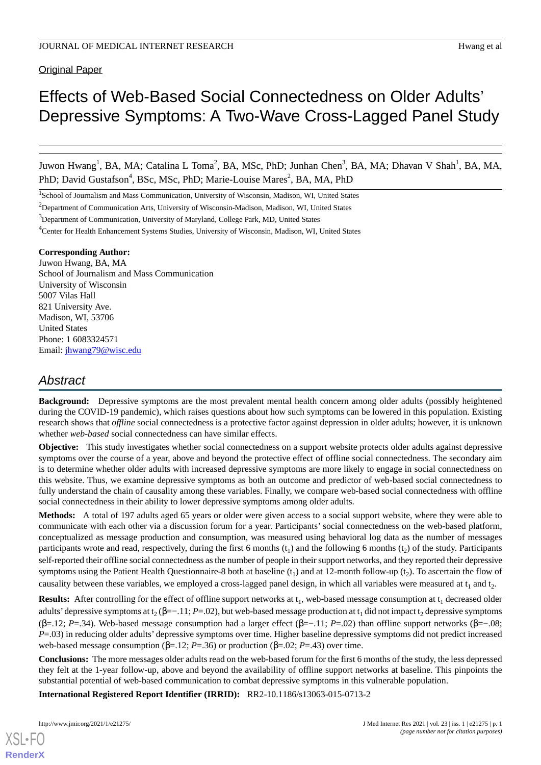# Original Paper

# Effects of Web-Based Social Connectedness on Older Adults' Depressive Symptoms: A Two-Wave Cross-Lagged Panel Study

Juwon Hwang<sup>1</sup>, BA, MA; Catalina L Toma<sup>2</sup>, BA, MSc, PhD; Junhan Chen<sup>3</sup>, BA, MA; Dhavan V Shah<sup>1</sup>, BA, MA, PhD; David Gustafson<sup>4</sup>, BSc, MSc, PhD; Marie-Louise Mares<sup>2</sup>, BA, MA, PhD

<sup>1</sup>School of Journalism and Mass Communication, University of Wisconsin, Madison, WI, United States

<sup>2</sup>Department of Communication Arts, University of Wisconsin-Madison, Madison, WI, United States

<sup>3</sup>Department of Communication, University of Maryland, College Park, MD, United States

<sup>4</sup>Center for Health Enhancement Systems Studies, University of Wisconsin, Madison, WI, United States

### **Corresponding Author:**

Juwon Hwang, BA, MA School of Journalism and Mass Communication University of Wisconsin 5007 Vilas Hall 821 University Ave. Madison, WI, 53706 United States Phone: 1 6083324571 Email: [jhwang79@wisc.edu](mailto:jhwang79@wisc.edu)

# *Abstract*

**Background:** Depressive symptoms are the most prevalent mental health concern among older adults (possibly heightened during the COVID-19 pandemic), which raises questions about how such symptoms can be lowered in this population. Existing research shows that *offline* social connectedness is a protective factor against depression in older adults; however, it is unknown whether *web-based* social connectedness can have similar effects.

**Objective:** This study investigates whether social connectedness on a support website protects older adults against depressive symptoms over the course of a year, above and beyond the protective effect of offline social connectedness. The secondary aim is to determine whether older adults with increased depressive symptoms are more likely to engage in social connectedness on this website. Thus, we examine depressive symptoms as both an outcome and predictor of web-based social connectedness to fully understand the chain of causality among these variables. Finally, we compare web-based social connectedness with offline social connectedness in their ability to lower depressive symptoms among older adults.

**Methods:** A total of 197 adults aged 65 years or older were given access to a social support website, where they were able to communicate with each other via a discussion forum for a year. Participants' social connectedness on the web-based platform, conceptualized as message production and consumption, was measured using behavioral log data as the number of messages participants wrote and read, respectively, during the first 6 months  $(t_1)$  and the following 6 months  $(t_2)$  of the study. Participants self-reported their offline social connectedness as the number of people in their support networks, and they reported their depressive symptoms using the Patient Health Questionnaire-8 both at baseline  $(t_1)$  and at 12-month follow-up  $(t_2)$ . To ascertain the flow of causality between these variables, we employed a cross-lagged panel design, in which all variables were measured at  $t_1$  and  $t_2$ .

**Results:** After controlling for the effect of offline support networks at t<sub>1</sub>, web-based message consumption at t<sub>1</sub> decreased older adults' depressive symptoms at t<sub>2</sub> (β=–.11; *P*=.02), but web-based message production at t<sub>1</sub> did not impact t<sub>2</sub> depressive symptoms (β=.12; *P*=.34). Web-based message consumption had a larger effect (β=−.11; *P*=.02) than offline support networks (β=−.08; *P*=.03) in reducing older adults' depressive symptoms over time. Higher baseline depressive symptoms did not predict increased web-based message consumption (β=.12; *P*=.36) or production (β=.02; *P*=.43) over time.

**Conclusions:** The more messages older adults read on the web-based forum for the first 6 months of the study, the less depressed they felt at the 1-year follow-up, above and beyond the availability of offline support networks at baseline. This pinpoints the substantial potential of web-based communication to combat depressive symptoms in this vulnerable population.

**International Registered Report Identifier (IRRID):** RR2-10.1186/s13063-015-0713-2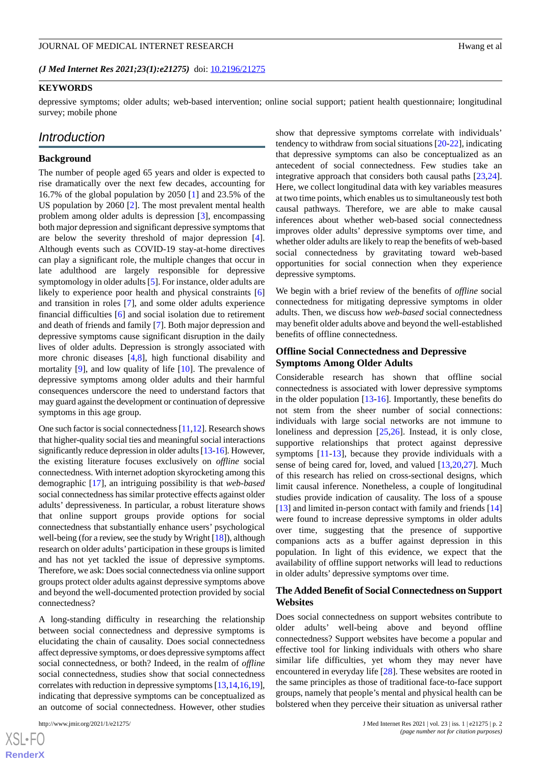*(J Med Internet Res 2021;23(1):e21275)* doi:  $10.2196/21275$ 

### **KEYWORDS**

depressive symptoms; older adults; web-based intervention; online social support; patient health questionnaire; longitudinal survey; mobile phone

# *Introduction*

### **Background**

The number of people aged 65 years and older is expected to rise dramatically over the next few decades, accounting for 16.7% of the global population by 2050 [[1\]](#page-9-0) and 23.5% of the US population by 2060 [[2\]](#page-9-1). The most prevalent mental health problem among older adults is depression [[3\]](#page-9-2), encompassing both major depression and significant depressive symptoms that are below the severity threshold of major depression [[4\]](#page-9-3). Although events such as COVID-19 stay-at-home directives can play a significant role, the multiple changes that occur in late adulthood are largely responsible for depressive symptomology in older adults [[5\]](#page-9-4). For instance, older adults are likely to experience poor health and physical constraints [\[6](#page-9-5)] and transition in roles [[7\]](#page-9-6), and some older adults experience financial difficulties [[6\]](#page-9-5) and social isolation due to retirement and death of friends and family [[7\]](#page-9-6). Both major depression and depressive symptoms cause significant disruption in the daily lives of older adults. Depression is strongly associated with more chronic diseases [[4](#page-9-3)[,8](#page-9-7)], high functional disability and mortality [[9\]](#page-9-8), and low quality of life [[10\]](#page-9-9). The prevalence of depressive symptoms among older adults and their harmful consequences underscore the need to understand factors that may guard against the development or continuation of depressive symptoms in this age group.

One such factor is social connectedness [\[11,](#page-9-10)[12\]](#page-9-11). Research shows that higher-quality social ties and meaningful social interactions significantly reduce depression in older adults [\[13-](#page-9-12)[16\]](#page-10-0). However, the existing literature focuses exclusively on *offline* social connectedness. With internet adoption skyrocketing among this demographic [\[17](#page-10-1)], an intriguing possibility is that *web-based* social connectedness has similar protective effects against older adults' depressiveness. In particular, a robust literature shows that online support groups provide options for social connectedness that substantially enhance users' psychological well-being (for a review, see the study by Wright [\[18](#page-10-2)]), although research on older adults'participation in these groups is limited and has not yet tackled the issue of depressive symptoms. Therefore, we ask: Does social connectedness via online support groups protect older adults against depressive symptoms above and beyond the well-documented protection provided by social connectedness?

A long-standing difficulty in researching the relationship between social connectedness and depressive symptoms is elucidating the chain of causality. Does social connectedness affect depressive symptoms, or does depressive symptoms affect social connectedness, or both? Indeed, in the realm of *offline* social connectedness, studies show that social connectedness correlates with reduction in depressive symptoms [\[13](#page-9-12),[14](#page-9-13),[16,](#page-10-0)[19\]](#page-10-3), indicating that depressive symptoms can be conceptualized as an outcome of social connectedness. However, other studies

show that depressive symptoms correlate with individuals' tendency to withdraw from social situations [[20-](#page-10-4)[22\]](#page-10-5), indicating that depressive symptoms can also be conceptualized as an antecedent of social connectedness. Few studies take an integrative approach that considers both causal paths [\[23](#page-10-6),[24\]](#page-10-7). Here, we collect longitudinal data with key variables measures at two time points, which enables us to simultaneously test both causal pathways. Therefore, we are able to make causal inferences about whether web-based social connectedness improves older adults' depressive symptoms over time, and whether older adults are likely to reap the benefits of web-based social connectedness by gravitating toward web-based opportunities for social connection when they experience depressive symptoms.

We begin with a brief review of the benefits of *offline* social connectedness for mitigating depressive symptoms in older adults. Then, we discuss how *web-based* social connectedness may benefit older adults above and beyond the well-established benefits of offline connectedness.

### **Offline Social Connectedness and Depressive Symptoms Among Older Adults**

Considerable research has shown that offline social connectedness is associated with lower depressive symptoms in the older population [\[13](#page-9-12)-[16\]](#page-10-0). Importantly, these benefits do not stem from the sheer number of social connections: individuals with large social networks are not immune to loneliness and depression [[25,](#page-10-8)[26](#page-10-9)]. Instead, it is only close, supportive relationships that protect against depressive symptoms [\[11](#page-9-10)-[13\]](#page-9-12), because they provide individuals with a sense of being cared for, loved, and valued [\[13](#page-9-12),[20](#page-10-4)[,27](#page-10-10)]. Much of this research has relied on cross-sectional designs, which limit causal inference. Nonetheless, a couple of longitudinal studies provide indication of causality. The loss of a spouse [[13\]](#page-9-12) and limited in-person contact with family and friends [\[14](#page-9-13)] were found to increase depressive symptoms in older adults over time, suggesting that the presence of supportive companions acts as a buffer against depression in this population. In light of this evidence, we expect that the availability of offline support networks will lead to reductions in older adults' depressive symptoms over time.

### **The Added Benefit of Social Connectedness on Support Websites**

Does social connectedness on support websites contribute to older adults' well-being above and beyond offline connectedness? Support websites have become a popular and effective tool for linking individuals with others who share similar life difficulties, yet whom they may never have encountered in everyday life [\[28](#page-10-11)]. These websites are rooted in the same principles as those of traditional face-to-face support groups, namely that people's mental and physical health can be bolstered when they perceive their situation as universal rather

 $XS$ -FO **[RenderX](http://www.renderx.com/)**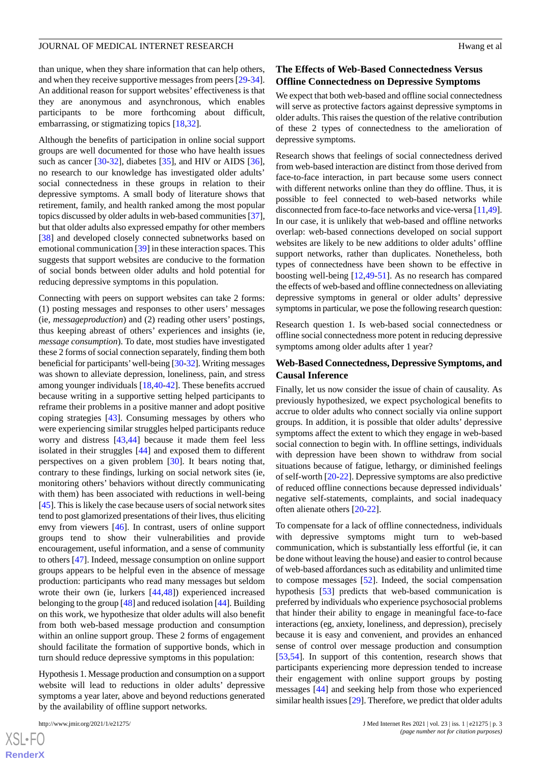than unique, when they share information that can help others, and when they receive supportive messages from peers [\[29](#page-10-12)-[34\]](#page-10-13). An additional reason for support websites' effectiveness is that they are anonymous and asynchronous, which enables participants to be more forthcoming about difficult, embarrassing, or stigmatizing topics [\[18](#page-10-2),[32\]](#page-10-14).

Although the benefits of participation in online social support groups are well documented for those who have health issues such as cancer [\[30](#page-10-15)-[32\]](#page-10-14), diabetes [\[35](#page-10-16)], and HIV or AIDS [[36\]](#page-10-17), no research to our knowledge has investigated older adults' social connectedness in these groups in relation to their depressive symptoms. A small body of literature shows that retirement, family, and health ranked among the most popular topics discussed by older adults in web-based communities [\[37\]](#page-10-18), but that older adults also expressed empathy for other members [[38\]](#page-10-19) and developed closely connected subnetworks based on emotional communication [[39\]](#page-11-0) in these interaction spaces. This suggests that support websites are conducive to the formation of social bonds between older adults and hold potential for reducing depressive symptoms in this population.

Connecting with peers on support websites can take 2 forms: (1) posting messages and responses to other users' messages (ie, *messageproduction*) and (2) reading other users' postings, thus keeping abreast of others' experiences and insights (ie, *message consumption*). To date, most studies have investigated these 2 forms of social connection separately, finding them both beneficial for participants'well-being [\[30](#page-10-15)[-32\]](#page-10-14). Writing messages was shown to alleviate depression, loneliness, pain, and stress among younger individuals [[18](#page-10-2)[,40](#page-11-1)-[42\]](#page-11-2). These benefits accrued because writing in a supportive setting helped participants to reframe their problems in a positive manner and adopt positive coping strategies [\[43](#page-11-3)]. Consuming messages by others who were experiencing similar struggles helped participants reduce worry and distress [\[43](#page-11-3),[44\]](#page-11-4) because it made them feel less isolated in their struggles [[44\]](#page-11-4) and exposed them to different perspectives on a given problem [\[30](#page-10-15)]. It bears noting that, contrary to these findings, lurking on social network sites (ie, monitoring others' behaviors without directly communicating with them) has been associated with reductions in well-being [[45\]](#page-11-5). This is likely the case because users of social network sites tend to post glamorized presentations of their lives, thus eliciting envy from viewers [[46\]](#page-11-6). In contrast, users of online support groups tend to show their vulnerabilities and provide encouragement, useful information, and a sense of community to others [\[47](#page-11-7)]. Indeed, message consumption on online support groups appears to be helpful even in the absence of message production: participants who read many messages but seldom wrote their own (ie, lurkers [\[44](#page-11-4),[48\]](#page-11-8)) experienced increased belonging to the group [[48\]](#page-11-8) and reduced isolation [[44](#page-11-4)]. Building on this work, we hypothesize that older adults will also benefit from both web-based message production and consumption within an online support group. These 2 forms of engagement should facilitate the formation of supportive bonds, which in turn should reduce depressive symptoms in this population:

Hypothesis 1. Message production and consumption on a support website will lead to reductions in older adults' depressive symptoms a year later, above and beyond reductions generated by the availability of offline support networks.

[XSL](http://www.w3.org/Style/XSL)•FO **[RenderX](http://www.renderx.com/)**

# **The Effects of Web-Based Connectedness Versus Offline Connectedness on Depressive Symptoms**

We expect that both web-based and offline social connectedness will serve as protective factors against depressive symptoms in older adults. This raises the question of the relative contribution of these 2 types of connectedness to the amelioration of depressive symptoms.

Research shows that feelings of social connectedness derived from web-based interaction are distinct from those derived from face-to-face interaction, in part because some users connect with different networks online than they do offline. Thus, it is possible to feel connected to web-based networks while disconnected from face-to-face networks and vice-versa [\[11](#page-9-10)[,49](#page-11-9)]. In our case, it is unlikely that web-based and offline networks overlap: web-based connections developed on social support websites are likely to be new additions to older adults' offline support networks, rather than duplicates. Nonetheless, both types of connectedness have been shown to be effective in boosting well-being [[12](#page-9-11)[,49](#page-11-9)-[51\]](#page-11-10). As no research has compared the effects of web-based and offline connectedness on alleviating depressive symptoms in general or older adults' depressive symptoms in particular, we pose the following research question:

Research question 1. Is web-based social connectedness or offline social connectedness more potent in reducing depressive symptoms among older adults after 1 year?

# **Web-Based Connectedness, Depressive Symptoms, and Causal Inference**

Finally, let us now consider the issue of chain of causality. As previously hypothesized, we expect psychological benefits to accrue to older adults who connect socially via online support groups. In addition, it is possible that older adults' depressive symptoms affect the extent to which they engage in web-based social connection to begin with. In offline settings, individuals with depression have been shown to withdraw from social situations because of fatigue, lethargy, or diminished feelings of self-worth [\[20](#page-10-4)-[22\]](#page-10-5). Depressive symptoms are also predictive of reduced offline connections because depressed individuals' negative self-statements, complaints, and social inadequacy often alienate others [[20-](#page-10-4)[22\]](#page-10-5).

To compensate for a lack of offline connectedness, individuals with depressive symptoms might turn to web-based communication, which is substantially less effortful (ie, it can be done without leaving the house) and easier to control because of web-based affordances such as editability and unlimited time to compose messages [\[52](#page-11-11)]. Indeed, the social compensation hypothesis [[53\]](#page-11-12) predicts that web-based communication is preferred by individuals who experience psychosocial problems that hinder their ability to engage in meaningful face-to-face interactions (eg, anxiety, loneliness, and depression), precisely because it is easy and convenient, and provides an enhanced sense of control over message production and consumption [[53,](#page-11-12)[54\]](#page-11-13). In support of this contention, research shows that participants experiencing more depression tended to increase their engagement with online support groups by posting messages [\[44](#page-11-4)] and seeking help from those who experienced similar health issues [\[29](#page-10-12)]. Therefore, we predict that older adults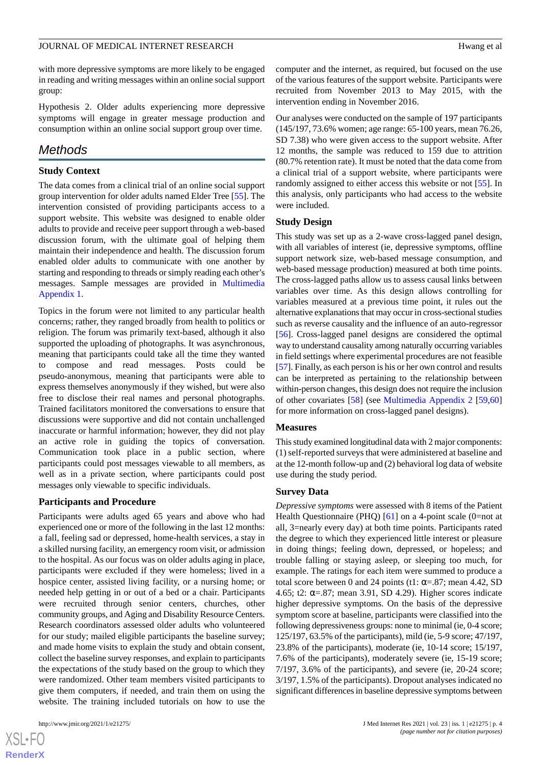with more depressive symptoms are more likely to be engaged in reading and writing messages within an online social support group:

Hypothesis 2. Older adults experiencing more depressive symptoms will engage in greater message production and consumption within an online social support group over time.

# *Methods*

### **Study Context**

The data comes from a clinical trial of an online social support group intervention for older adults named Elder Tree [[55\]](#page-11-14). The intervention consisted of providing participants access to a support website. This website was designed to enable older adults to provide and receive peer support through a web-based discussion forum, with the ultimate goal of helping them maintain their independence and health. The discussion forum enabled older adults to communicate with one another by starting and responding to threads or simply reading each other's messages. Sample messages are provided in [Multimedia](#page-9-14) [Appendix 1.](#page-9-14)

Topics in the forum were not limited to any particular health concerns; rather, they ranged broadly from health to politics or religion. The forum was primarily text-based, although it also supported the uploading of photographs. It was asynchronous, meaning that participants could take all the time they wanted to compose and read messages. Posts could be pseudo-anonymous, meaning that participants were able to express themselves anonymously if they wished, but were also free to disclose their real names and personal photographs. Trained facilitators monitored the conversations to ensure that discussions were supportive and did not contain unchallenged inaccurate or harmful information; however, they did not play an active role in guiding the topics of conversation. Communication took place in a public section, where participants could post messages viewable to all members, as well as in a private section, where participants could post messages only viewable to specific individuals.

### **Participants and Procedure**

Participants were adults aged 65 years and above who had experienced one or more of the following in the last 12 months: a fall, feeling sad or depressed, home-health services, a stay in a skilled nursing facility, an emergency room visit, or admission to the hospital. As our focus was on older adults aging in place, participants were excluded if they were homeless; lived in a hospice center, assisted living facility, or a nursing home; or needed help getting in or out of a bed or a chair. Participants were recruited through senior centers, churches, other community groups, and Aging and Disability Resource Centers. Research coordinators assessed older adults who volunteered for our study; mailed eligible participants the baseline survey; and made home visits to explain the study and obtain consent, collect the baseline survey responses, and explain to participants the expectations of the study based on the group to which they were randomized. Other team members visited participants to give them computers, if needed, and train them on using the website. The training included tutorials on how to use the

computer and the internet, as required, but focused on the use of the various features of the support website. Participants were recruited from November 2013 to May 2015, with the intervention ending in November 2016.

Our analyses were conducted on the sample of 197 participants (145/197, 73.6% women; age range: 65-100 years, mean 76.26, SD 7.38) who were given access to the support website. After 12 months, the sample was reduced to 159 due to attrition (80.7% retention rate). It must be noted that the data come from a clinical trial of a support website, where participants were randomly assigned to either access this website or not [[55\]](#page-11-14). In this analysis, only participants who had access to the website were included.

### **Study Design**

This study was set up as a 2-wave cross-lagged panel design, with all variables of interest (ie, depressive symptoms, offline support network size, web-based message consumption, and web-based message production) measured at both time points. The cross-lagged paths allow us to assess causal links between variables over time. As this design allows controlling for variables measured at a previous time point, it rules out the alternative explanations that may occur in cross-sectional studies such as reverse causality and the influence of an auto-regressor [[56\]](#page-11-15). Cross-lagged panel designs are considered the optimal way to understand causality among naturally occurring variables in field settings where experimental procedures are not feasible [[57\]](#page-11-16). Finally, as each person is his or her own control and results can be interpreted as pertaining to the relationship between within-person changes, this design does not require the inclusion of other covariates [\[58](#page-11-17)] (see [Multimedia Appendix 2](#page-9-15) [[59](#page-11-18)[,60](#page-11-19)] for more information on cross-lagged panel designs).

#### **Measures**

This study examined longitudinal data with 2 major components: (1) self-reported surveys that were administered at baseline and at the 12-month follow-up and (2) behavioral log data of website use during the study period.

#### **Survey Data**

*Depressive symptoms* were assessed with 8 items of the Patient Health Questionnaire (PHQ)  $[61]$  $[61]$  on a 4-point scale (0=not at all, 3=nearly every day) at both time points. Participants rated the degree to which they experienced little interest or pleasure in doing things; feeling down, depressed, or hopeless; and trouble falling or staying asleep, or sleeping too much, for example. The ratings for each item were summed to produce a total score between 0 and 24 points (t1:  $\alpha = .87$ ; mean 4.42, SD 4.65; t2:  $\alpha = .87$ ; mean 3.91, SD 4.29). Higher scores indicate higher depressive symptoms. On the basis of the depressive symptom score at baseline, participants were classified into the following depressiveness groups: none to minimal (ie, 0-4 score; 125/197, 63.5% of the participants), mild (ie, 5-9 score; 47/197, 23.8% of the participants), moderate (ie, 10-14 score; 15/197, 7.6% of the participants), moderately severe (ie, 15-19 score; 7/197, 3.6% of the participants), and severe (ie, 20-24 score; 3/197, 1.5% of the participants). Dropout analyses indicated no significant differences in baseline depressive symptoms between

```
XS-FO
RenderX
```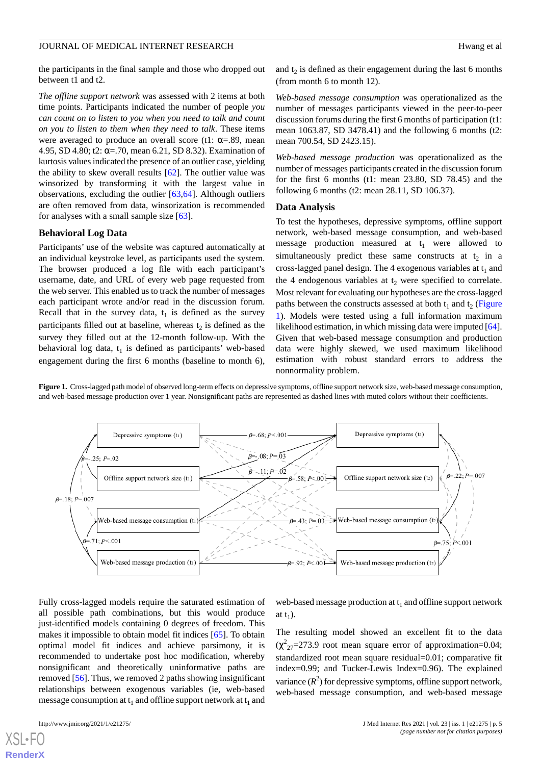the participants in the final sample and those who dropped out between t1 and t2.

*The offline support network* was assessed with 2 items at both time points. Participants indicated the number of people *you can count on to listen to you when you need to talk and count on you to listen to them when they need to talk*. These items were averaged to produce an overall score (t1:  $\alpha = .89$ , mean 4.95, SD 4.80; t2:  $\alpha = .70$ , mean 6.21, SD 8.32). Examination of kurtosis values indicated the presence of an outlier case, yielding the ability to skew overall results [\[62](#page-11-21)]. The outlier value was winsorized by transforming it with the largest value in observations, excluding the outlier [\[63](#page-11-22),[64\]](#page-11-23). Although outliers are often removed from data, winsorization is recommended for analyses with a small sample size [[63\]](#page-11-22).

### **Behavioral Log Data**

Participants' use of the website was captured automatically at an individual keystroke level, as participants used the system. The browser produced a log file with each participant's username, date, and URL of every web page requested from the web server. This enabled us to track the number of messages each participant wrote and/or read in the discussion forum. Recall that in the survey data,  $t_1$  is defined as the survey participants filled out at baseline, whereas  $t_2$  is defined as the survey they filled out at the 12-month follow-up. With the behavioral log data,  $t_1$  is defined as participants' web-based engagement during the first 6 months (baseline to month 6),

Depressive symptoms (t1)

Offline support network size (t1)

Web-based message consumption (t

Web-based message production (t1)

 $25: P = 02$ 

 $.71: P < 0.01$ 

 $\beta = 18; P = 007$ 

and  $t_2$  is defined as their engagement during the last 6 months (from month 6 to month 12).

*Web-based message consumption* was operationalized as the number of messages participants viewed in the peer-to-peer discussion forums during the first 6 months of participation (t1: mean 1063.87, SD 3478.41) and the following 6 months (t2: mean 700.54, SD 2423.15).

*Web-based message production* was operationalized as the number of messages participants created in the discussion forum for the first 6 months (t1: mean 23.80, SD 78.45) and the following 6 months (t2: mean 28.11, SD 106.37).

#### **Data Analysis**

To test the hypotheses, depressive symptoms, offline support network, web-based message consumption, and web-based message production measured at  $t_1$  were allowed to simultaneously predict these same constructs at  $t_2$  in a cross-lagged panel design. The 4 exogenous variables at  $t_1$  and the 4 endogenous variables at  $t_2$  were specified to correlate. Most relevant for evaluating our hypotheses are the cross-lagged paths between the constructs assessed at both  $t_1$  and  $t_2$  ([Figure](#page-4-0) [1\)](#page-4-0). Models were tested using a full information maximum likelihood estimation, in which missing data were imputed [\[64\]](#page-11-23). Given that web-based message consumption and production data were highly skewed, we used maximum likelihood estimation with robust standard errors to address the nonnormality problem.

Depressive symptoms (t2)

Offline support network size (t2)

Web-based message consumption (t2

Web-based message production (t2)

<span id="page-4-0"></span>**Figure 1.** Cross-lagged path model of observed long-term effects on depressive symptoms, offline support network size, web-based message consumption, and web-based message production over 1 year. Nonsignificant paths are represented as dashed lines with muted colors without their coefficients.

 $B = 68 : P < 001$ 

 $\beta = 0.08; P = 0.03$ 

 $\theta = -11; P = 02$ 

 $58: P < 001$ 

 $.43: P = .03$ 

 $6 = .92; P < .001$ 



web-based message production at  $t_1$  and offline support network at  $t_1$ ).

The resulting model showed an excellent fit to the data  $(\chi^2_{27}=273.9 \text{ root mean square error of approximation}=0.04;$ standardized root mean square residual=0.01; comparative fit index=0.99; and Tucker-Lewis Index=0.96). The explained variance  $(R^2)$  for depressive symptoms, offline support network, web-based message consumption, and web-based message

[XSL](http://www.w3.org/Style/XSL)•FO **[RenderX](http://www.renderx.com/)**

 $B = 22$ ;  $P = 007$ 

 $P < 001$ 

 $\beta = .75$ ;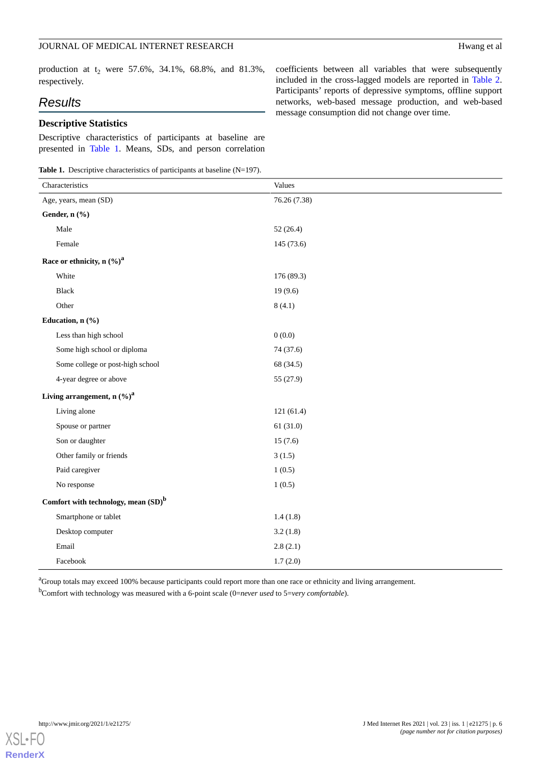### JOURNAL OF MEDICAL INTERNET RESEARCH Hwang et al

production at  $t_2$  were 57.6%, 34.1%, 68.8%, and 81.3%, respectively.

# *Results*

# **Descriptive Statistics**

Descriptive characteristics of participants at baseline are presented in [Table 1.](#page-5-0) Means, SDs, and person correlation

<span id="page-5-0"></span>**Table 1.** Descriptive characteristics of participants at baseline (N=197).

coefficients between all variables that were subsequently included in the cross-lagged models are reported in [Table 2](#page-6-0). Participants' reports of depressive symptoms, offline support networks, web-based message production, and web-based message consumption did not change over time.

| Characteristics                        | Values       |  |  |  |  |  |
|----------------------------------------|--------------|--|--|--|--|--|
| Age, years, mean (SD)                  | 76.26 (7.38) |  |  |  |  |  |
| Gender, n (%)                          |              |  |  |  |  |  |
| Male                                   | 52(26.4)     |  |  |  |  |  |
| Female                                 | 145 (73.6)   |  |  |  |  |  |
| Race or ethnicity, n $(\%)^a$          |              |  |  |  |  |  |
| White                                  | 176 (89.3)   |  |  |  |  |  |
| <b>Black</b>                           | 19(9.6)      |  |  |  |  |  |
| Other                                  | 8(4.1)       |  |  |  |  |  |
| Education, n (%)                       |              |  |  |  |  |  |
| Less than high school                  | 0(0.0)       |  |  |  |  |  |
| Some high school or diploma            | 74 (37.6)    |  |  |  |  |  |
| Some college or post-high school       | 68 (34.5)    |  |  |  |  |  |
| 4-year degree or above                 | 55 (27.9)    |  |  |  |  |  |
| Living arrangement, n $(\%)^a$         |              |  |  |  |  |  |
| Living alone                           | 121(61.4)    |  |  |  |  |  |
| Spouse or partner                      | 61(31.0)     |  |  |  |  |  |
| Son or daughter                        | 15(7.6)      |  |  |  |  |  |
| Other family or friends                | 3(1.5)       |  |  |  |  |  |
| Paid caregiver                         | 1(0.5)       |  |  |  |  |  |
| No response                            | 1(0.5)       |  |  |  |  |  |
| Comfort with technology, mean $(SD)^b$ |              |  |  |  |  |  |
| Smartphone or tablet                   | 1.4(1.8)     |  |  |  |  |  |
| Desktop computer                       | 3.2(1.8)     |  |  |  |  |  |
| Email                                  | 2.8(2.1)     |  |  |  |  |  |
| Facebook                               | 1.7(2.0)     |  |  |  |  |  |

<sup>a</sup>Group totals may exceed 100% because participants could report more than one race or ethnicity and living arrangement.

<sup>b</sup>Comfort with technology was measured with a 6-point scale (0=*never used* to 5=*very comfortable*).

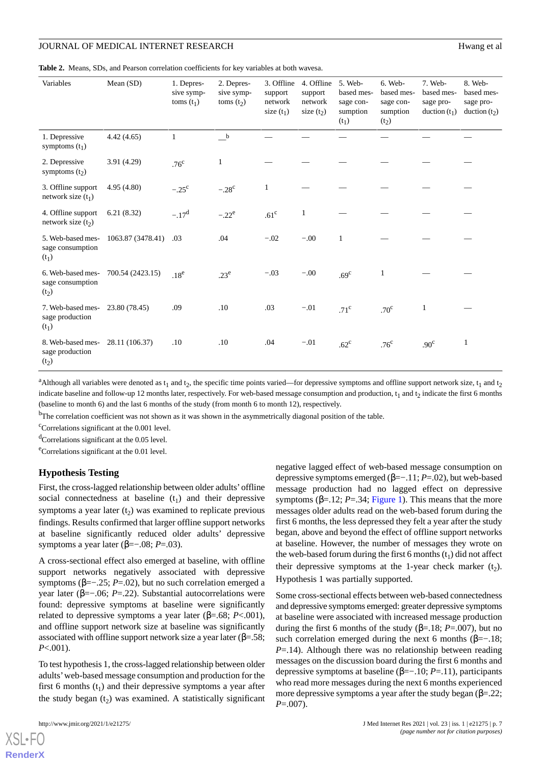### JOURNAL OF MEDICAL INTERNET RESEARCH HWANG HALL AND HEREAR OF MEDICAL INTERNET RESEARCH

<span id="page-6-0"></span>**Table 2.** Means, SDs, and Pearson correlation coefficients for key variables at both wavesa.

| Variables                                                 | Mean (SD)         | 1. Depres-<br>sive symp-<br>toms $(t_1)$ | 2. Depres-<br>sive symp-<br>toms $(t2)$ | 3. Offline<br>support<br>network<br>size $(t_1)$ | 4. Offline<br>support<br>network<br>size $(t2)$ | 5. Web-<br>based mes-<br>sage con-<br>sumption<br>$(t_1)$ | 6. Web-<br>based mes-<br>sage con-<br>sumption<br>(t <sub>2</sub> ) | 7. Web-<br>based mes-<br>sage pro-<br>duction $(t_1)$ | 8. Web-<br>based mes-<br>sage pro-<br>duction $(t_2)$ |
|-----------------------------------------------------------|-------------------|------------------------------------------|-----------------------------------------|--------------------------------------------------|-------------------------------------------------|-----------------------------------------------------------|---------------------------------------------------------------------|-------------------------------------------------------|-------------------------------------------------------|
| 1. Depressive<br>symptoms $(t_1)$                         | 4.42(4.65)        | 1                                        | $_{\rm b}$                              |                                                  |                                                 |                                                           |                                                                     |                                                       |                                                       |
| 2. Depressive<br>symptoms $(t2)$                          | 3.91 (4.29)       | .76 <sup>c</sup>                         | 1                                       |                                                  |                                                 |                                                           |                                                                     |                                                       |                                                       |
| 3. Offline support<br>network size $(t_1)$                | 4.95(4.80)        | $-.25^{\circ}$                           | $-.28^{\circ}$                          | 1                                                |                                                 |                                                           |                                                                     |                                                       |                                                       |
| 4. Offline support<br>network size $(t_2)$                | 6.21(8.32)        | $-.17d$                                  | $-.22^e$                                | .61 <sup>c</sup>                                 | 1                                               |                                                           |                                                                     |                                                       |                                                       |
| 5. Web-based mes-<br>sage consumption<br>$(t_1)$          | 1063.87 (3478.41) | .03                                      | .04                                     | $-.02$                                           | $-.00$                                          | 1                                                         |                                                                     |                                                       |                                                       |
| 6. Web-based mes-<br>sage consumption<br>$(t_2)$          | 700.54 (2423.15)  | .18 <sup>e</sup>                         | .23 <sup>e</sup>                        | $-.03$                                           | $-.00$                                          | .69 <sup>c</sup>                                          | 1                                                                   |                                                       |                                                       |
| 7. Web-based mes-<br>sage production<br>$(t_1)$           | 23.80 (78.45)     | .09                                      | .10                                     | .03                                              | $-.01$                                          | .71 <sup>c</sup>                                          | .70 <sup>c</sup>                                                    | 1                                                     |                                                       |
| 8. Web-based mes-<br>sage production<br>(t <sub>2</sub> ) | 28.11 (106.37)    | .10                                      | .10                                     | .04                                              | $-.01$                                          | $.62^{\circ}$                                             | .76 <sup>c</sup>                                                    | .90 <sup>c</sup>                                      | 1                                                     |

<sup>a</sup>Although all variables were denoted as  $t_1$  and  $t_2$ , the specific time points varied—for depressive symptoms and offline support network size,  $t_1$  and  $t_2$ indicate baseline and follow-up 12 months later, respectively. For web-based message consumption and production,  $t_1$  and  $t_2$  indicate the first 6 months (baseline to month 6) and the last 6 months of the study (from month 6 to month 12), respectively.

<sup>b</sup>The correlation coefficient was not shown as it was shown in the asymmetrically diagonal position of the table.

 $\text{°Correlations significant at the 0.001 level.}$ 

 $\rm^{d}$ Correlations significant at the 0.05 level.

<sup>e</sup>Correlations significant at the 0.01 level.

#### **Hypothesis Testing**

First, the cross-lagged relationship between older adults'offline social connectedness at baseline  $(t_1)$  and their depressive symptoms a year later  $(t_2)$  was examined to replicate previous findings. Results confirmed that larger offline support networks at baseline significantly reduced older adults' depressive symptoms a year later ( $β=-.08; P=.03$ ).

A cross-sectional effect also emerged at baseline, with offline support networks negatively associated with depressive symptoms ( $\beta = -0.25$ ; *P*=.02), but no such correlation emerged a year later (β=−.06; *P*=.22). Substantial autocorrelations were found: depressive symptoms at baseline were significantly related to depressive symptoms a year later (β=.68; *P*<.001), and offline support network size at baseline was significantly associated with offline support network size a year later ( $\beta$ =.58; *P*<.001).

To test hypothesis 1, the cross-lagged relationship between older adults'web-based message consumption and production for the first 6 months  $(t_1)$  and their depressive symptoms a year after the study began  $(t_2)$  was examined. A statistically significant

negative lagged effect of web-based message consumption on depressive symptoms emerged (β=−.11; *P*=.02), but web-based message production had no lagged effect on depressive symptoms ( $\beta$ =.12; *P*=.34; [Figure 1\)](#page-4-0). This means that the more messages older adults read on the web-based forum during the first 6 months, the less depressed they felt a year after the study began, above and beyond the effect of offline support networks at baseline. However, the number of messages they wrote on the web-based forum during the first  $6$  months  $(t<sub>1</sub>)$  did not affect their depressive symptoms at the 1-year check marker  $(t_2)$ . Hypothesis 1 was partially supported.

Some cross-sectional effects between web-based connectedness and depressive symptoms emerged: greater depressive symptoms at baseline were associated with increased message production during the first 6 months of the study (β=.18; *P*=.007), but no such correlation emerged during the next 6 months ( $\beta = -18$ ; *P*=.14). Although there was no relationship between reading messages on the discussion board during the first 6 months and depressive symptoms at baseline (β=−.10; *P*=.11), participants who read more messages during the next 6 months experienced more depressive symptoms a year after the study began  $(\beta = 22)$ ; *P*=.007).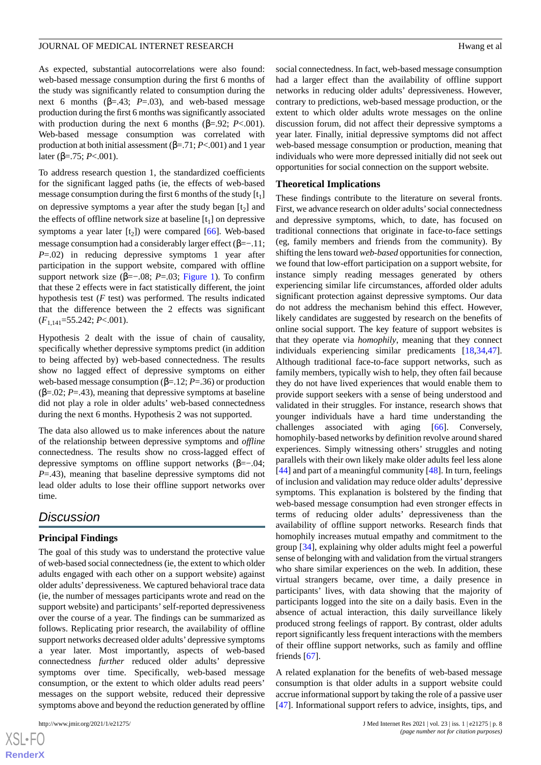As expected, substantial autocorrelations were also found: web-based message consumption during the first 6 months of the study was significantly related to consumption during the next 6 months ( $β = .43$ ;  $P = .03$ ), and web-based message production during the first 6 months was significantly associated with production during the next 6 months ( $β = .92$ ; *P*<.001). Web-based message consumption was correlated with production at both initial assessment (β=.71; *P*<.001) and 1 year later (β=.75; *P*<.001).

To address research question 1, the standardized coefficients for the significant lagged paths (ie, the effects of web-based message consumption during the first 6 months of the study  $[t<sub>1</sub>]$ on depressive symptoms a year after the study began  $[t_2]$  and the effects of offline network size at baseline  $[t_1]$  on depressive symptoms a year later  $[t_2]$ ) were compared  $[66]$  $[66]$ . Web-based message consumption had a considerably larger effect  $(\beta=-.11)$ ; *P*=.02) in reducing depressive symptoms 1 year after participation in the support website, compared with offline support network size (β=−.08; *P*=.03; [Figure 1\)](#page-4-0). To confirm that these 2 effects were in fact statistically different, the joint hypothesis test (*F* test) was performed. The results indicated that the difference between the 2 effects was significant (*F*1,141=55.242; *P*<.001).

Hypothesis 2 dealt with the issue of chain of causality, specifically whether depressive symptoms predict (in addition to being affected by) web-based connectedness. The results show no lagged effect of depressive symptoms on either web-based message consumption ( $\beta$ =.12; *P*=.36) or production ( $\beta$ =.02; *P*=.43), meaning that depressive symptoms at baseline did not play a role in older adults' web-based connectedness during the next 6 months. Hypothesis 2 was not supported.

The data also allowed us to make inferences about the nature of the relationship between depressive symptoms and *offline* connectedness. The results show no cross-lagged effect of depressive symptoms on offline support networks ( $\beta = -0.04$ ; *P*=.43), meaning that baseline depressive symptoms did not lead older adults to lose their offline support networks over time.

# *Discussion*

### **Principal Findings**

The goal of this study was to understand the protective value of web-based social connectedness (ie, the extent to which older adults engaged with each other on a support website) against older adults' depressiveness. We captured behavioral trace data (ie, the number of messages participants wrote and read on the support website) and participants' self-reported depressiveness over the course of a year. The findings can be summarized as follows. Replicating prior research, the availability of offline support networks decreased older adults' depressive symptoms a year later. Most importantly, aspects of web-based connectedness *further* reduced older adults' depressive symptoms over time. Specifically, web-based message consumption, or the extent to which older adults read peers' messages on the support website, reduced their depressive symptoms above and beyond the reduction generated by offline

social connectedness. In fact, web-based message consumption had a larger effect than the availability of offline support networks in reducing older adults' depressiveness. However, contrary to predictions, web-based message production, or the extent to which older adults wrote messages on the online discussion forum, did not affect their depressive symptoms a year later. Finally, initial depressive symptoms did not affect web-based message consumption or production, meaning that individuals who were more depressed initially did not seek out opportunities for social connection on the support website.

### **Theoretical Implications**

These findings contribute to the literature on several fronts. First, we advance research on older adults'social connectedness and depressive symptoms, which, to date, has focused on traditional connections that originate in face-to-face settings (eg, family members and friends from the community). By shifting the lens toward *web-based* opportunities for connection, we found that low-effort participation on a support website, for instance simply reading messages generated by others experiencing similar life circumstances, afforded older adults significant protection against depressive symptoms. Our data do not address the mechanism behind this effect. However, likely candidates are suggested by research on the benefits of online social support. The key feature of support websites is that they operate via *homophily*, meaning that they connect individuals experiencing similar predicaments [[18](#page-10-2)[,34](#page-10-13),[47\]](#page-11-7). Although traditional face-to-face support networks, such as family members, typically wish to help, they often fail because they do not have lived experiences that would enable them to provide support seekers with a sense of being understood and validated in their struggles. For instance, research shows that younger individuals have a hard time understanding the challenges associated with aging [\[66](#page-12-0)]. Conversely, homophily-based networks by definition revolve around shared experiences. Simply witnessing others' struggles and noting parallels with their own likely make older adults feel less alone [[44\]](#page-11-4) and part of a meaningful community [\[48](#page-11-8)]. In turn, feelings of inclusion and validation may reduce older adults' depressive symptoms. This explanation is bolstered by the finding that web-based message consumption had even stronger effects in terms of reducing older adults' depressiveness than the availability of offline support networks. Research finds that homophily increases mutual empathy and commitment to the group [\[34](#page-10-13)], explaining why older adults might feel a powerful sense of belonging with and validation from the virtual strangers who share similar experiences on the web. In addition, these virtual strangers became, over time, a daily presence in participants' lives, with data showing that the majority of participants logged into the site on a daily basis. Even in the absence of actual interaction, this daily surveillance likely produced strong feelings of rapport. By contrast, older adults report significantly less frequent interactions with the members of their offline support networks, such as family and offline friends [\[67](#page-12-1)].

A related explanation for the benefits of web-based message consumption is that older adults in a support website could accrue informational support by taking the role of a passive user [[47\]](#page-11-7). Informational support refers to advice, insights, tips, and

```
XSL•FO
RenderX
```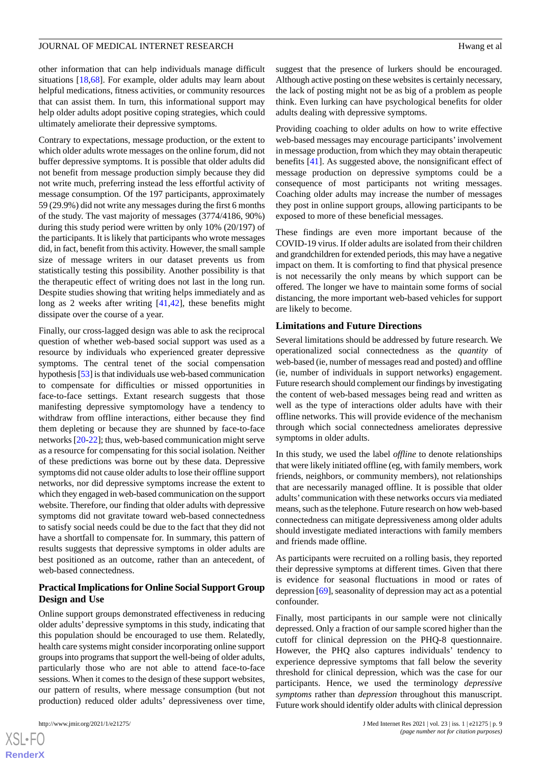other information that can help individuals manage difficult situations [\[18](#page-10-2),[68\]](#page-12-2). For example, older adults may learn about helpful medications, fitness activities, or community resources that can assist them. In turn, this informational support may help older adults adopt positive coping strategies, which could ultimately ameliorate their depressive symptoms.

Contrary to expectations, message production, or the extent to which older adults wrote messages on the online forum, did not buffer depressive symptoms. It is possible that older adults did not benefit from message production simply because they did not write much, preferring instead the less effortful activity of message consumption. Of the 197 participants, approximately 59 (29.9%) did not write any messages during the first 6 months of the study. The vast majority of messages (3774/4186, 90%) during this study period were written by only 10% (20/197) of the participants. It is likely that participants who wrote messages did, in fact, benefit from this activity. However, the small sample size of message writers in our dataset prevents us from statistically testing this possibility. Another possibility is that the therapeutic effect of writing does not last in the long run. Despite studies showing that writing helps immediately and as long as 2 weeks after writing [\[41](#page-11-25),[42\]](#page-11-2), these benefits might dissipate over the course of a year.

Finally, our cross-lagged design was able to ask the reciprocal question of whether web-based social support was used as a resource by individuals who experienced greater depressive symptoms. The central tenet of the social compensation hypothesis [\[53\]](#page-11-12) is that individuals use web-based communication to compensate for difficulties or missed opportunities in face-to-face settings. Extant research suggests that those manifesting depressive symptomology have a tendency to withdraw from offline interactions, either because they find them depleting or because they are shunned by face-to-face networks [\[20](#page-10-4)-[22\]](#page-10-5); thus, web-based communication might serve as a resource for compensating for this social isolation. Neither of these predictions was borne out by these data. Depressive symptoms did not cause older adults to lose their offline support networks, nor did depressive symptoms increase the extent to which they engaged in web-based communication on the support website. Therefore, our finding that older adults with depressive symptoms did not gravitate toward web-based connectedness to satisfy social needs could be due to the fact that they did not have a shortfall to compensate for. In summary, this pattern of results suggests that depressive symptoms in older adults are best positioned as an outcome, rather than an antecedent, of web-based connectedness.

# **Practical Implications for Online Social Support Group Design and Use**

Online support groups demonstrated effectiveness in reducing older adults' depressive symptoms in this study, indicating that this population should be encouraged to use them. Relatedly, health care systems might consider incorporating online support groups into programs that support the well-being of older adults, particularly those who are not able to attend face-to-face sessions. When it comes to the design of these support websites, our pattern of results, where message consumption (but not production) reduced older adults' depressiveness over time,

[XSL](http://www.w3.org/Style/XSL)•FO **[RenderX](http://www.renderx.com/)** suggest that the presence of lurkers should be encouraged. Although active posting on these websites is certainly necessary, the lack of posting might not be as big of a problem as people think. Even lurking can have psychological benefits for older adults dealing with depressive symptoms.

Providing coaching to older adults on how to write effective web-based messages may encourage participants'involvement in message production, from which they may obtain therapeutic benefits [\[41](#page-11-25)]. As suggested above, the nonsignificant effect of message production on depressive symptoms could be a consequence of most participants not writing messages. Coaching older adults may increase the number of messages they post in online support groups, allowing participants to be exposed to more of these beneficial messages.

These findings are even more important because of the COVID-19 virus. If older adults are isolated from their children and grandchildren for extended periods, this may have a negative impact on them. It is comforting to find that physical presence is not necessarily the only means by which support can be offered. The longer we have to maintain some forms of social distancing, the more important web-based vehicles for support are likely to become.

### **Limitations and Future Directions**

Several limitations should be addressed by future research. We operationalized social connectedness as the *quantity* of web-based (ie, number of messages read and posted) and offline (ie, number of individuals in support networks) engagement. Future research should complement our findings by investigating the content of web-based messages being read and written as well as the type of interactions older adults have with their offline networks. This will provide evidence of the mechanism through which social connectedness ameliorates depressive symptoms in older adults.

In this study, we used the label *offline* to denote relationships that were likely initiated offline (eg, with family members, work friends, neighbors, or community members), not relationships that are necessarily managed offline. It is possible that older adults' communication with these networks occurs via mediated means, such as the telephone. Future research on how web-based connectedness can mitigate depressiveness among older adults should investigate mediated interactions with family members and friends made offline.

As participants were recruited on a rolling basis, they reported their depressive symptoms at different times. Given that there is evidence for seasonal fluctuations in mood or rates of depression [\[69](#page-12-3)], seasonality of depression may act as a potential confounder.

Finally, most participants in our sample were not clinically depressed. Only a fraction of our sample scored higher than the cutoff for clinical depression on the PHQ-8 questionnaire. However, the PHQ also captures individuals' tendency to experience depressive symptoms that fall below the severity threshold for clinical depression, which was the case for our participants. Hence, we used the terminology *depressive symptoms* rather than *depression* throughout this manuscript. Future work should identify older adults with clinical depression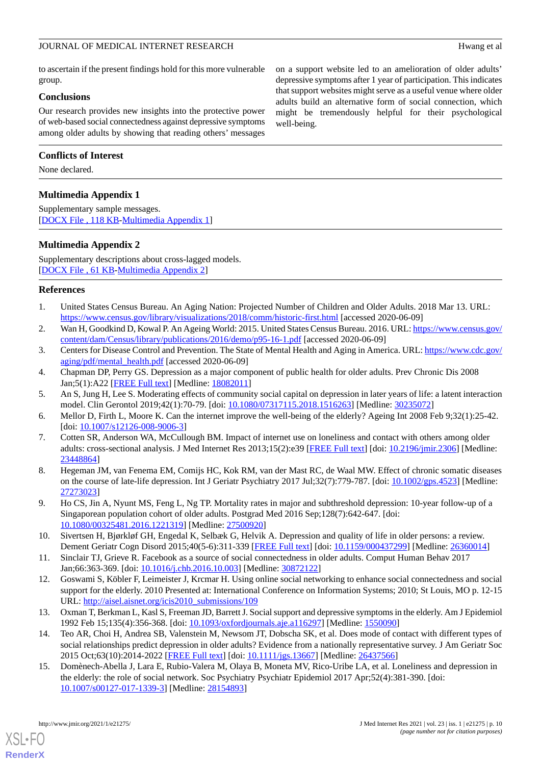to ascertain if the present findings hold for this more vulnerable group.

### **Conclusions**

Our research provides new insights into the protective power of web-based social connectedness against depressive symptoms among older adults by showing that reading others' messages

### **Conflicts of Interest**

<span id="page-9-14"></span>None declared.

# **Multimedia Appendix 1**

<span id="page-9-15"></span>Supplementary sample messages. [[DOCX File , 118 KB-Multimedia Appendix 1\]](https://jmir.org/api/download?alt_name=jmir_v23i1e21275_app1.docx&filename=1940260e456ba296ca2ec499e92b94d2.docx)

# **Multimedia Appendix 2**

Supplementary descriptions about cross-lagged models. [[DOCX File , 61 KB](https://jmir.org/api/download?alt_name=jmir_v23i1e21275_app2.docx&filename=6c41d82a7c6bfdc7aa85c9af39980c12.docx)-[Multimedia Appendix 2\]](https://jmir.org/api/download?alt_name=jmir_v23i1e21275_app2.docx&filename=6c41d82a7c6bfdc7aa85c9af39980c12.docx)

### <span id="page-9-1"></span><span id="page-9-0"></span>**References**

- <span id="page-9-2"></span>1. United States Census Bureau. An Aging Nation: Projected Number of Children and Older Adults. 2018 Mar 13. URL: <https://www.census.gov/library/visualizations/2018/comm/historic-first.html> [accessed 2020-06-09]
- <span id="page-9-3"></span>2. Wan H, Goodkind D, Kowal P. An Ageing World: 2015. United States Census Bureau. 2016. URL: [https://www.census.gov/](https://www.census.gov/content/dam/Census/library/publications/2016/demo/p95-16-1.pdf) [content/dam/Census/library/publications/2016/demo/p95-16-1.pdf](https://www.census.gov/content/dam/Census/library/publications/2016/demo/p95-16-1.pdf) [accessed 2020-06-09]
- <span id="page-9-4"></span>3. Centers for Disease Control and Prevention. The State of Mental Health and Aging in America. URL: [https://www.cdc.gov/](https://www.cdc.gov/aging/pdf/mental_health.pdf) [aging/pdf/mental\\_health.pdf](https://www.cdc.gov/aging/pdf/mental_health.pdf) [accessed 2020-06-09]
- <span id="page-9-5"></span>4. Chapman DP, Perry GS. Depression as a major component of public health for older adults. Prev Chronic Dis 2008 Jan;5(1):A22 [\[FREE Full text\]](http://www.cdc.gov/pcd/issues/2008/jan/07_0150.htm) [Medline: [18082011](http://www.ncbi.nlm.nih.gov/entrez/query.fcgi?cmd=Retrieve&db=PubMed&list_uids=18082011&dopt=Abstract)]
- <span id="page-9-6"></span>5. An S, Jung H, Lee S. Moderating effects of community social capital on depression in later years of life: a latent interaction model. Clin Gerontol 2019;42(1):70-79. [doi: [10.1080/07317115.2018.1516263](http://dx.doi.org/10.1080/07317115.2018.1516263)] [Medline: [30235072](http://www.ncbi.nlm.nih.gov/entrez/query.fcgi?cmd=Retrieve&db=PubMed&list_uids=30235072&dopt=Abstract)]
- <span id="page-9-7"></span>6. Mellor D, Firth L, Moore K. Can the internet improve the well-being of the elderly? Ageing Int 2008 Feb 9;32(1):25-42. [doi: [10.1007/s12126-008-9006-3](http://dx.doi.org/10.1007/s12126-008-9006-3)]
- <span id="page-9-8"></span>7. Cotten SR, Anderson WA, McCullough BM. Impact of internet use on loneliness and contact with others among older adults: cross-sectional analysis. J Med Internet Res 2013;15(2):e39 [[FREE Full text](http://www.jmir.org/2013/2/e39/)] [doi: [10.2196/jmir.2306](http://dx.doi.org/10.2196/jmir.2306)] [Medline: [23448864](http://www.ncbi.nlm.nih.gov/entrez/query.fcgi?cmd=Retrieve&db=PubMed&list_uids=23448864&dopt=Abstract)]
- <span id="page-9-9"></span>8. Hegeman JM, van Fenema EM, Comijs HC, Kok RM, van der Mast RC, de Waal MW. Effect of chronic somatic diseases on the course of late-life depression. Int J Geriatr Psychiatry 2017 Jul;32(7):779-787. [doi: [10.1002/gps.4523\]](http://dx.doi.org/10.1002/gps.4523) [Medline: [27273023](http://www.ncbi.nlm.nih.gov/entrez/query.fcgi?cmd=Retrieve&db=PubMed&list_uids=27273023&dopt=Abstract)]
- <span id="page-9-10"></span>9. Ho CS, Jin A, Nyunt MS, Feng L, Ng TP. Mortality rates in major and subthreshold depression: 10-year follow-up of a Singaporean population cohort of older adults. Postgrad Med 2016 Sep;128(7):642-647. [doi: [10.1080/00325481.2016.1221319\]](http://dx.doi.org/10.1080/00325481.2016.1221319) [Medline: [27500920\]](http://www.ncbi.nlm.nih.gov/entrez/query.fcgi?cmd=Retrieve&db=PubMed&list_uids=27500920&dopt=Abstract)
- <span id="page-9-11"></span>10. Sivertsen H, Bjørkløf GH, Engedal K, Selbæk G, Helvik A. Depression and quality of life in older persons: a review. Dement Geriatr Cogn Disord 2015;40(5-6):311-339 [\[FREE Full text](https://www.karger.com?DOI=10.1159/000437299)] [doi: [10.1159/000437299](http://dx.doi.org/10.1159/000437299)] [Medline: [26360014\]](http://www.ncbi.nlm.nih.gov/entrez/query.fcgi?cmd=Retrieve&db=PubMed&list_uids=26360014&dopt=Abstract)
- <span id="page-9-12"></span>11. Sinclair TJ, Grieve R. Facebook as a source of social connectedness in older adults. Comput Human Behav 2017 Jan;66:363-369. [doi: [10.1016/j.chb.2016.10.003](http://dx.doi.org/10.1016/j.chb.2016.10.003)] [Medline: [30872122](http://www.ncbi.nlm.nih.gov/entrez/query.fcgi?cmd=Retrieve&db=PubMed&list_uids=30872122&dopt=Abstract)]
- <span id="page-9-13"></span>12. Goswami S, Köbler F, Leimeister J, Krcmar H. Using online social networking to enhance social connectedness and social support for the elderly. 2010 Presented at: International Conference on Information Systems; 2010; St Louis, MO p. 12-15 URL: [http://aisel.aisnet.org/icis2010\\_submissions/109](http://aisel.aisnet.org/icis2010_submissions/109)
- 13. Oxman T, Berkman L, Kasl S, Freeman JD, Barrett J. Social support and depressive symptoms in the elderly. Am J Epidemiol 1992 Feb 15;135(4):356-368. [doi: [10.1093/oxfordjournals.aje.a116297\]](http://dx.doi.org/10.1093/oxfordjournals.aje.a116297) [Medline: [1550090](http://www.ncbi.nlm.nih.gov/entrez/query.fcgi?cmd=Retrieve&db=PubMed&list_uids=1550090&dopt=Abstract)]
- 14. Teo AR, Choi H, Andrea SB, Valenstein M, Newsom JT, Dobscha SK, et al. Does mode of contact with different types of social relationships predict depression in older adults? Evidence from a nationally representative survey. J Am Geriatr Soc 2015 Oct;63(10):2014-2022 [[FREE Full text](http://europepmc.org/abstract/MED/26437566)] [doi: [10.1111/jgs.13667\]](http://dx.doi.org/10.1111/jgs.13667) [Medline: [26437566\]](http://www.ncbi.nlm.nih.gov/entrez/query.fcgi?cmd=Retrieve&db=PubMed&list_uids=26437566&dopt=Abstract)
- 15. Domènech-Abella J, Lara E, Rubio-Valera M, Olaya B, Moneta MV, Rico-Uribe LA, et al. Loneliness and depression in the elderly: the role of social network. Soc Psychiatry Psychiatr Epidemiol 2017 Apr;52(4):381-390. [doi: [10.1007/s00127-017-1339-3\]](http://dx.doi.org/10.1007/s00127-017-1339-3) [Medline: [28154893](http://www.ncbi.nlm.nih.gov/entrez/query.fcgi?cmd=Retrieve&db=PubMed&list_uids=28154893&dopt=Abstract)]

[XSL](http://www.w3.org/Style/XSL)•FO **[RenderX](http://www.renderx.com/)**

on a support website led to an amelioration of older adults' depressive symptoms after 1 year of participation. This indicates that support websites might serve as a useful venue where older adults build an alternative form of social connection, which might be tremendously helpful for their psychological well-being.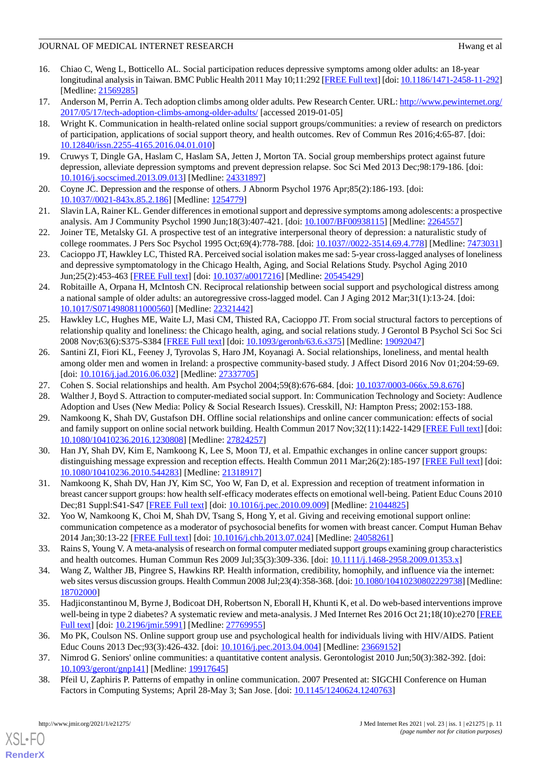# JOURNAL OF MEDICAL INTERNET RESEARCH HWANG HEAD HWANG ET ALL HEADS

- <span id="page-10-0"></span>16. Chiao C, Weng L, Botticello AL. Social participation reduces depressive symptoms among older adults: an 18-year longitudinal analysis in Taiwan. BMC Public Health 2011 May 10;11:292 [\[FREE Full text\]](https://bmcpublichealth.biomedcentral.com/articles/10.1186/1471-2458-11-292) [doi: [10.1186/1471-2458-11-292\]](http://dx.doi.org/10.1186/1471-2458-11-292) [Medline: [21569285](http://www.ncbi.nlm.nih.gov/entrez/query.fcgi?cmd=Retrieve&db=PubMed&list_uids=21569285&dopt=Abstract)]
- <span id="page-10-2"></span><span id="page-10-1"></span>17. Anderson M, Perrin A. Tech adoption climbs among older adults. Pew Research Center. URL: [http://www.pewinternet.org/](http://www.pewinternet.org/2017/05/17/tech-adoption-climbs-among-older-adults/) [2017/05/17/tech-adoption-climbs-among-older-adults/](http://www.pewinternet.org/2017/05/17/tech-adoption-climbs-among-older-adults/) [accessed 2019-01-05]
- 18. Wright K. Communication in health-related online social support groups/communities: a review of research on predictors of participation, applications of social support theory, and health outcomes. Rev of Commun Res 2016;4:65-87. [doi: [10.12840/issn.2255-4165.2016.04.01.010](http://dx.doi.org/10.12840/issn.2255-4165.2016.04.01.010)]
- <span id="page-10-4"></span><span id="page-10-3"></span>19. Cruwys T, Dingle GA, Haslam C, Haslam SA, Jetten J, Morton TA. Social group memberships protect against future depression, alleviate depression symptoms and prevent depression relapse. Soc Sci Med 2013 Dec;98:179-186. [doi: [10.1016/j.socscimed.2013.09.013](http://dx.doi.org/10.1016/j.socscimed.2013.09.013)] [Medline: [24331897](http://www.ncbi.nlm.nih.gov/entrez/query.fcgi?cmd=Retrieve&db=PubMed&list_uids=24331897&dopt=Abstract)]
- 20. Coyne JC. Depression and the response of others. J Abnorm Psychol 1976 Apr;85(2):186-193. [doi: [10.1037//0021-843x.85.2.186](http://dx.doi.org/10.1037//0021-843x.85.2.186)] [Medline: [1254779](http://www.ncbi.nlm.nih.gov/entrez/query.fcgi?cmd=Retrieve&db=PubMed&list_uids=1254779&dopt=Abstract)]
- <span id="page-10-5"></span>21. Slavin LA, Rainer KL. Gender differences in emotional support and depressive symptoms among adolescents: a prospective analysis. Am J Community Psychol 1990 Jun;18(3):407-421. [doi: [10.1007/BF00938115\]](http://dx.doi.org/10.1007/BF00938115) [Medline: [2264557\]](http://www.ncbi.nlm.nih.gov/entrez/query.fcgi?cmd=Retrieve&db=PubMed&list_uids=2264557&dopt=Abstract)
- <span id="page-10-6"></span>22. Joiner TE, Metalsky GI. A prospective test of an integrative interpersonal theory of depression: a naturalistic study of college roommates. J Pers Soc Psychol 1995 Oct;69(4):778-788. [doi: [10.1037//0022-3514.69.4.778\]](http://dx.doi.org/10.1037//0022-3514.69.4.778) [Medline: [7473031](http://www.ncbi.nlm.nih.gov/entrez/query.fcgi?cmd=Retrieve&db=PubMed&list_uids=7473031&dopt=Abstract)]
- <span id="page-10-7"></span>23. Cacioppo JT, Hawkley LC, Thisted RA. Perceived social isolation makes me sad: 5-year cross-lagged analyses of loneliness and depressive symptomatology in the Chicago Health, Aging, and Social Relations Study. Psychol Aging 2010 Jun;25(2):453-463 [[FREE Full text](http://europepmc.org/abstract/MED/20545429)] [doi: [10.1037/a0017216](http://dx.doi.org/10.1037/a0017216)] [Medline: [20545429\]](http://www.ncbi.nlm.nih.gov/entrez/query.fcgi?cmd=Retrieve&db=PubMed&list_uids=20545429&dopt=Abstract)
- <span id="page-10-8"></span>24. Robitaille A, Orpana H, McIntosh CN. Reciprocal relationship between social support and psychological distress among a national sample of older adults: an autoregressive cross-lagged model. Can J Aging 2012 Mar;31(1):13-24. [doi: [10.1017/S0714980811000560](http://dx.doi.org/10.1017/S0714980811000560)] [Medline: [22321442](http://www.ncbi.nlm.nih.gov/entrez/query.fcgi?cmd=Retrieve&db=PubMed&list_uids=22321442&dopt=Abstract)]
- <span id="page-10-9"></span>25. Hawkley LC, Hughes ME, Waite LJ, Masi CM, Thisted RA, Cacioppo JT. From social structural factors to perceptions of relationship quality and loneliness: the Chicago health, aging, and social relations study. J Gerontol B Psychol Sci Soc Sci 2008 Nov;63(6):S375-S384 [[FREE Full text](http://europepmc.org/abstract/MED/19092047)] [doi: [10.1093/geronb/63.6.s375\]](http://dx.doi.org/10.1093/geronb/63.6.s375) [Medline: [19092047\]](http://www.ncbi.nlm.nih.gov/entrez/query.fcgi?cmd=Retrieve&db=PubMed&list_uids=19092047&dopt=Abstract)
- <span id="page-10-11"></span><span id="page-10-10"></span>26. Santini ZI, Fiori KL, Feeney J, Tyrovolas S, Haro JM, Koyanagi A. Social relationships, loneliness, and mental health among older men and women in Ireland: a prospective community-based study. J Affect Disord 2016 Nov 01;204:59-69. [doi: [10.1016/j.jad.2016.06.032](http://dx.doi.org/10.1016/j.jad.2016.06.032)] [Medline: [27337705\]](http://www.ncbi.nlm.nih.gov/entrez/query.fcgi?cmd=Retrieve&db=PubMed&list_uids=27337705&dopt=Abstract)
- <span id="page-10-12"></span>27. Cohen S. Social relationships and health. Am Psychol 2004;59(8):676-684. [doi: [10.1037/0003-066x.59.8.676\]](http://dx.doi.org/10.1037/0003-066x.59.8.676)
- <span id="page-10-15"></span>28. Walther J, Boyd S. Attraction to computer-mediated social support. In: Communication Technology and Society: Audlence Adoption and Uses (New Media: Policy & Social Research Issues). Cresskill, NJ: Hampton Press; 2002:153-188.
- 29. Namkoong K, Shah DV, Gustafson DH. Offline social relationships and online cancer communication: effects of social and family support on online social network building. Health Commun 2017 Nov;32(11):1422-1429 [[FREE Full text](http://europepmc.org/abstract/MED/27824257)] [doi: [10.1080/10410236.2016.1230808\]](http://dx.doi.org/10.1080/10410236.2016.1230808) [Medline: [27824257\]](http://www.ncbi.nlm.nih.gov/entrez/query.fcgi?cmd=Retrieve&db=PubMed&list_uids=27824257&dopt=Abstract)
- <span id="page-10-14"></span>30. Han JY, Shah DV, Kim E, Namkoong K, Lee S, Moon TJ, et al. Empathic exchanges in online cancer support groups: distinguishing message expression and reception effects. Health Commun 2011 Mar;26(2):185-197 [\[FREE Full text](http://europepmc.org/abstract/MED/21318917)] [doi: [10.1080/10410236.2010.544283\]](http://dx.doi.org/10.1080/10410236.2010.544283) [Medline: [21318917\]](http://www.ncbi.nlm.nih.gov/entrez/query.fcgi?cmd=Retrieve&db=PubMed&list_uids=21318917&dopt=Abstract)
- 31. Namkoong K, Shah DV, Han JY, Kim SC, Yoo W, Fan D, et al. Expression and reception of treatment information in breast cancer support groups: how health self-efficacy moderates effects on emotional well-being. Patient Educ Couns 2010 Dec;81 Suppl:S41-S47 [\[FREE Full text\]](http://europepmc.org/abstract/MED/21044825) [doi: [10.1016/j.pec.2010.09.009\]](http://dx.doi.org/10.1016/j.pec.2010.09.009) [Medline: [21044825\]](http://www.ncbi.nlm.nih.gov/entrez/query.fcgi?cmd=Retrieve&db=PubMed&list_uids=21044825&dopt=Abstract)
- <span id="page-10-13"></span>32. Yoo W, Namkoong K, Choi M, Shah DV, Tsang S, Hong Y, et al. Giving and receiving emotional support online: communication competence as a moderator of psychosocial benefits for women with breast cancer. Comput Human Behav 2014 Jan;30:13-22 [\[FREE Full text\]](http://europepmc.org/abstract/MED/24058261) [doi: [10.1016/j.chb.2013.07.024\]](http://dx.doi.org/10.1016/j.chb.2013.07.024) [Medline: [24058261\]](http://www.ncbi.nlm.nih.gov/entrez/query.fcgi?cmd=Retrieve&db=PubMed&list_uids=24058261&dopt=Abstract)
- <span id="page-10-16"></span>33. Rains S, Young V. A meta-analysis of research on formal computer mediated support groups examining group characteristics and health outcomes. Human Commun Res 2009 Jul;35(3):309-336. [doi: [10.1111/j.1468-2958.2009.01353.x](http://dx.doi.org/10.1111/j.1468-2958.2009.01353.x)]
- <span id="page-10-17"></span>34. Wang Z, Walther JB, Pingree S, Hawkins RP. Health information, credibility, homophily, and influence via the internet: web sites versus discussion groups. Health Commun 2008 Jul;23(4):358-368. [doi: [10.1080/10410230802229738\]](http://dx.doi.org/10.1080/10410230802229738) [Medline: [18702000](http://www.ncbi.nlm.nih.gov/entrez/query.fcgi?cmd=Retrieve&db=PubMed&list_uids=18702000&dopt=Abstract)]
- <span id="page-10-19"></span><span id="page-10-18"></span>35. Hadjiconstantinou M, Byrne J, Bodicoat DH, Robertson N, Eborall H, Khunti K, et al. Do web-based interventions improve well-being in type 2 diabetes? A systematic review and meta-analysis. J Med Internet Res 2016 Oct 21;18(10):e270 [\[FREE](http://www.jmir.org/2016/10/e270/) [Full text\]](http://www.jmir.org/2016/10/e270/) [doi: [10.2196/jmir.5991](http://dx.doi.org/10.2196/jmir.5991)] [Medline: [27769955\]](http://www.ncbi.nlm.nih.gov/entrez/query.fcgi?cmd=Retrieve&db=PubMed&list_uids=27769955&dopt=Abstract)
- 36. Mo PK, Coulson NS. Online support group use and psychological health for individuals living with HIV/AIDS. Patient Educ Couns 2013 Dec;93(3):426-432. [doi: [10.1016/j.pec.2013.04.004](http://dx.doi.org/10.1016/j.pec.2013.04.004)] [Medline: [23669152\]](http://www.ncbi.nlm.nih.gov/entrez/query.fcgi?cmd=Retrieve&db=PubMed&list_uids=23669152&dopt=Abstract)
- 37. Nimrod G. Seniors' online communities: a quantitative content analysis. Gerontologist 2010 Jun;50(3):382-392. [doi: [10.1093/geront/gnp141](http://dx.doi.org/10.1093/geront/gnp141)] [Medline: [19917645\]](http://www.ncbi.nlm.nih.gov/entrez/query.fcgi?cmd=Retrieve&db=PubMed&list_uids=19917645&dopt=Abstract)
- 38. Pfeil U, Zaphiris P. Patterns of empathy in online communication. 2007 Presented at: SIGCHI Conference on Human Factors in Computing Systems; April 28-May 3; San Jose. [doi: [10.1145/1240624.1240763\]](http://dx.doi.org/10.1145/1240624.1240763)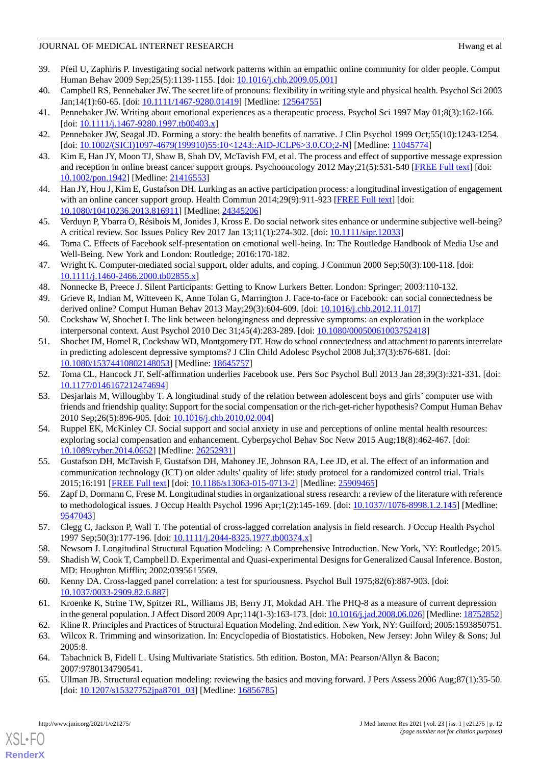### JOURNAL OF MEDICAL INTERNET RESEARCH HWANG HEAD HWANG ET ALL HEADS

- <span id="page-11-0"></span>39. Pfeil U, Zaphiris P. Investigating social network patterns within an empathic online community for older people. Comput Human Behav 2009 Sep; 25(5):1139-1155. [doi: [10.1016/j.chb.2009.05.001\]](http://dx.doi.org/10.1016/j.chb.2009.05.001)
- <span id="page-11-25"></span><span id="page-11-1"></span>40. Campbell RS, Pennebaker JW. The secret life of pronouns: flexibility in writing style and physical health. Psychol Sci 2003 Jan;14(1):60-65. [doi: [10.1111/1467-9280.01419\]](http://dx.doi.org/10.1111/1467-9280.01419) [Medline: [12564755\]](http://www.ncbi.nlm.nih.gov/entrez/query.fcgi?cmd=Retrieve&db=PubMed&list_uids=12564755&dopt=Abstract)
- <span id="page-11-2"></span>41. Pennebaker JW. Writing about emotional experiences as a therapeutic process. Psychol Sci 1997 May 01;8(3):162-166.  $[doi: 10.1111/j.1467-9280.1997.tb00403.x]$  $[doi: 10.1111/j.1467-9280.1997.tb00403.x]$  $[doi: 10.1111/j.1467-9280.1997.tb00403.x]$
- <span id="page-11-3"></span>42. Pennebaker JW, Seagal JD. Forming a story: the health benefits of narrative. J Clin Psychol 1999 Oct;55(10):1243-1254. [doi: [10.1002/\(SICI\)1097-4679\(199910\)55:10<1243::AID-JCLP6>3.0.CO;2-N\]](http://dx.doi.org/10.1002/(SICI)1097-4679(199910)55:10<1243::AID-JCLP6>3.0.CO;2-N) [Medline: [11045774\]](http://www.ncbi.nlm.nih.gov/entrez/query.fcgi?cmd=Retrieve&db=PubMed&list_uids=11045774&dopt=Abstract)
- <span id="page-11-4"></span>43. Kim E, Han JY, Moon TJ, Shaw B, Shah DV, McTavish FM, et al. The process and effect of supportive message expression and reception in online breast cancer support groups. Psychooncology 2012 May;21(5):531-540 [\[FREE Full text\]](http://europepmc.org/abstract/MED/21416553) [doi: [10.1002/pon.1942](http://dx.doi.org/10.1002/pon.1942)] [Medline: [21416553](http://www.ncbi.nlm.nih.gov/entrez/query.fcgi?cmd=Retrieve&db=PubMed&list_uids=21416553&dopt=Abstract)]
- <span id="page-11-5"></span>44. Han JY, Hou J, Kim E, Gustafson DH. Lurking as an active participation process: a longitudinal investigation of engagement with an online cancer support group. Health Commun 2014;29(9):911-923 [[FREE Full text](http://europepmc.org/abstract/MED/24345206)] [doi: [10.1080/10410236.2013.816911\]](http://dx.doi.org/10.1080/10410236.2013.816911) [Medline: [24345206\]](http://www.ncbi.nlm.nih.gov/entrez/query.fcgi?cmd=Retrieve&db=PubMed&list_uids=24345206&dopt=Abstract)
- <span id="page-11-6"></span>45. Verduyn P, Ybarra O, Résibois M, Jonides J, Kross E. Do social network sites enhance or undermine subjective well-being? A critical review. Soc Issues Policy Rev 2017 Jan 13;11(1):274-302. [doi: [10.1111/sipr.12033\]](http://dx.doi.org/10.1111/sipr.12033)
- <span id="page-11-7"></span>46. Toma C. Effects of Facebook self-presentation on emotional well-being. In: The Routledge Handbook of Media Use and Well-Being. New York and London: Routledge; 2016:170-182.
- <span id="page-11-9"></span><span id="page-11-8"></span>47. Wright K. Computer-mediated social support, older adults, and coping. J Commun 2000 Sep;50(3):100-118. [doi: [10.1111/j.1460-2466.2000.tb02855.x\]](http://dx.doi.org/10.1111/j.1460-2466.2000.tb02855.x)
- 48. Nonnecke B, Preece J. Silent Participants: Getting to Know Lurkers Better. London: Springer; 2003:110-132.
- <span id="page-11-10"></span>49. Grieve R, Indian M, Witteveen K, Anne Tolan G, Marrington J. Face-to-face or Facebook: can social connectedness be derived online? Comput Human Behav 2013 May;29(3):604-609. [doi: [10.1016/j.chb.2012.11.017\]](http://dx.doi.org/10.1016/j.chb.2012.11.017)
- 50. Cockshaw W, Shochet I. The link between belongingness and depressive symptoms: an exploration in the workplace interpersonal context. Aust Psychol 2010 Dec 31;45(4):283-289. [doi: [10.1080/00050061003752418](http://dx.doi.org/10.1080/00050061003752418)]
- <span id="page-11-12"></span><span id="page-11-11"></span>51. Shochet IM, Homel R, Cockshaw WD, Montgomery DT. How do school connectedness and attachment to parents interrelate in predicting adolescent depressive symptoms? J Clin Child Adolesc Psychol 2008 Jul;37(3):676-681. [doi: [10.1080/15374410802148053\]](http://dx.doi.org/10.1080/15374410802148053) [Medline: [18645757\]](http://www.ncbi.nlm.nih.gov/entrez/query.fcgi?cmd=Retrieve&db=PubMed&list_uids=18645757&dopt=Abstract)
- 52. Toma CL, Hancock JT. Self-affirmation underlies Facebook use. Pers Soc Psychol Bull 2013 Jan 28;39(3):321-331. [doi: [10.1177/0146167212474694\]](http://dx.doi.org/10.1177/0146167212474694)
- <span id="page-11-13"></span>53. Desjarlais M, Willoughby T. A longitudinal study of the relation between adolescent boys and girls' computer use with friends and friendship quality: Support for the social compensation or the rich-get-richer hypothesis? Comput Human Behav 2010 Sep;26(5):896-905. [doi: [10.1016/j.chb.2010.02.004](http://dx.doi.org/10.1016/j.chb.2010.02.004)]
- <span id="page-11-14"></span>54. Ruppel EK, McKinley CJ. Social support and social anxiety in use and perceptions of online mental health resources: exploring social compensation and enhancement. Cyberpsychol Behav Soc Netw 2015 Aug;18(8):462-467. [doi: [10.1089/cyber.2014.0652](http://dx.doi.org/10.1089/cyber.2014.0652)] [Medline: [26252931](http://www.ncbi.nlm.nih.gov/entrez/query.fcgi?cmd=Retrieve&db=PubMed&list_uids=26252931&dopt=Abstract)]
- <span id="page-11-16"></span><span id="page-11-15"></span>55. Gustafson DH, McTavish F, Gustafson DH, Mahoney JE, Johnson RA, Lee JD, et al. The effect of an information and communication technology (ICT) on older adults' quality of life: study protocol for a randomized control trial. Trials 2015;16:191 [[FREE Full text](http://www.trialsjournal.com/content/16//191)] [doi: [10.1186/s13063-015-0713-2\]](http://dx.doi.org/10.1186/s13063-015-0713-2) [Medline: [25909465](http://www.ncbi.nlm.nih.gov/entrez/query.fcgi?cmd=Retrieve&db=PubMed&list_uids=25909465&dopt=Abstract)]
- <span id="page-11-18"></span><span id="page-11-17"></span>56. Zapf D, Dormann C, Frese M. Longitudinal studies in organizational stress research: a review of the literature with reference to methodological issues. J Occup Health Psychol 1996 Apr;1(2):145-169. [doi: [10.1037//1076-8998.1.2.145\]](http://dx.doi.org/10.1037//1076-8998.1.2.145) [Medline: [9547043\]](http://www.ncbi.nlm.nih.gov/entrez/query.fcgi?cmd=Retrieve&db=PubMed&list_uids=9547043&dopt=Abstract)
- <span id="page-11-19"></span>57. Clegg C, Jackson P, Wall T. The potential of cross-lagged correlation analysis in field research. J Occup Health Psychol 1997 Sep;50(3):177-196. [doi: [10.1111/j.2044-8325.1977.tb00374.x](http://dx.doi.org/10.1111/j.2044-8325.1977.tb00374.x)]
- <span id="page-11-20"></span>58. Newsom J. Longitudinal Structural Equation Modeling: A Comprehensive Introduction. New York, NY: Routledge; 2015.
- <span id="page-11-21"></span>59. Shadish W, Cook T, Campbell D. Experimental and Quasi-experimental Designs for Generalized Causal Inference. Boston, MD: Houghton Mifflin; 2002:0395615569.
- <span id="page-11-23"></span><span id="page-11-22"></span>60. Kenny DA. Cross-lagged panel correlation: a test for spuriousness. Psychol Bull 1975;82(6):887-903. [doi: [10.1037/0033-2909.82.6.887\]](http://dx.doi.org/10.1037/0033-2909.82.6.887)
- <span id="page-11-24"></span>61. Kroenke K, Strine TW, Spitzer RL, Williams JB, Berry JT, Mokdad AH. The PHQ-8 as a measure of current depression in the general population. J Affect Disord 2009 Apr;114(1-3):163-173. [doi: [10.1016/j.jad.2008.06.026](http://dx.doi.org/10.1016/j.jad.2008.06.026)] [Medline: [18752852\]](http://www.ncbi.nlm.nih.gov/entrez/query.fcgi?cmd=Retrieve&db=PubMed&list_uids=18752852&dopt=Abstract)
- 62. Kline R. Principles and Practices of Structural Equation Modeling. 2nd edition. New York, NY: Guilford; 2005:1593850751.
- 63. Wilcox R. Trimming and winsorization. In: Encyclopedia of Biostatistics. Hoboken, New Jersey: John Wiley & Sons; Jul 2005:8.
- 64. Tabachnick B, Fidell L. Using Multivariate Statistics. 5th edition. Boston, MA: Pearson/Allyn & Bacon; 2007:9780134790541.
- 65. Ullman JB. Structural equation modeling: reviewing the basics and moving forward. J Pers Assess 2006 Aug;87(1):35-50. [doi: [10.1207/s15327752jpa8701\\_03](http://dx.doi.org/10.1207/s15327752jpa8701_03)] [Medline: [16856785](http://www.ncbi.nlm.nih.gov/entrez/query.fcgi?cmd=Retrieve&db=PubMed&list_uids=16856785&dopt=Abstract)]